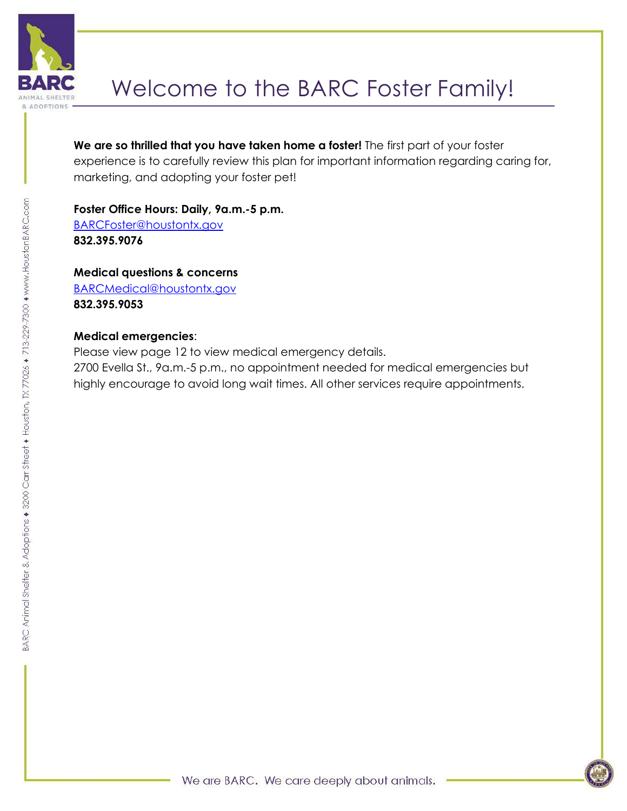

# Welcome to the BARC Foster Family!

**We are so thrilled that you have taken home a foster!** The first part of your foster experience is to carefully review this plan for important information regarding caring for, marketing, and adopting your foster pet!

### **Foster Office Hours: Daily, 9a.m.-5 p.m.**

[BARCFoster@houstontx.gov](mailto:BARCFoster@houstontx.gov) **832.395.9076**

### **Medical questions & concerns**

[BARCMedical@houstontx.gov](mailto:BARCMedical@houstontx.gov) **832.395.9053** 

### **Medical emergencies**:

Please view page 12 to view medical emergency details. 2700 Evella St., 9a.m.-5 p.m., no appointment needed for medical emergencies but highly encourage to avoid long wait times. All other services require appointments.